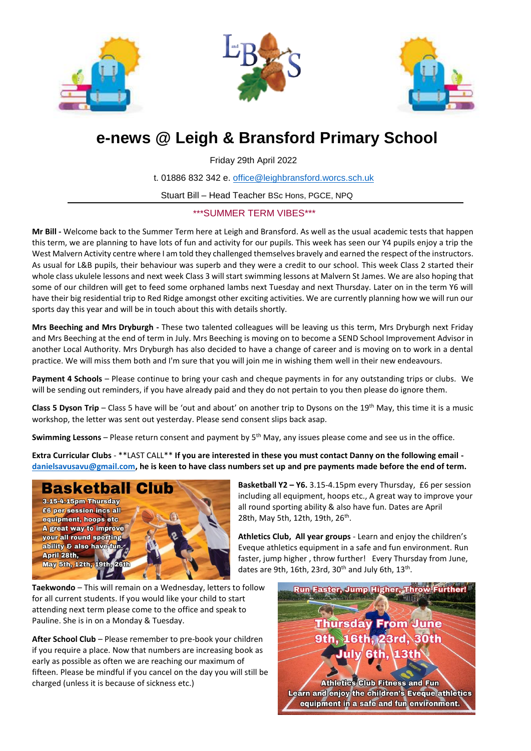





# **e-news @ Leigh & Bransford Primary School**

Friday 29th April 2022

t. 01886 832 342 e. [office@leighbransford.worcs.sch.uk](mailto:office@leighbransford.worcs.sch.uk)

Stuart Bill – Head Teacher BSc Hons, PGCE, NPQ

# \*\*\*SUMMER TERM VIBES\*\*\*

**Mr Bill -** Welcome back to the Summer Term here at Leigh and Bransford. As well as the usual academic tests that happen this term, we are planning to have lots of fun and activity for our pupils. This week has seen our Y4 pupils enjoy a trip the West Malvern Activity centre where I am told they challenged themselves bravely and earned the respect of the instructors. As usual for L&B pupils, their behaviour was superb and they were a credit to our school. This week Class 2 started their whole class ukulele lessons and next week Class 3 will start swimming lessons at Malvern St James. We are also hoping that some of our children will get to feed some orphaned lambs next Tuesday and next Thursday. Later on in the term Y6 will have their big residential trip to Red Ridge amongst other exciting activities. We are currently planning how we will run our sports day this year and will be in touch about this with details shortly.

**Mrs Beeching and Mrs Dryburgh -** These two talented colleagues will be leaving us this term, Mrs Dryburgh next Friday and Mrs Beeching at the end of term in July. Mrs Beeching is moving on to become a SEND School Improvement Advisor in another Local Authority. Mrs Dryburgh has also decided to have a change of career and is moving on to work in a dental practice. We will miss them both and I'm sure that you will join me in wishing them well in their new endeavours.

**Payment 4 Schools** – Please continue to bring your cash and cheque payments in for any outstanding trips or clubs. We will be sending out reminders, if you have already paid and they do not pertain to you then please do ignore them.

**Class 5 Dyson Trip** – Class 5 have will be 'out and about' on another trip to Dysons on the 19th May, this time it is a music workshop, the letter was sent out yesterday. Please send consent slips back asap.

**Swimming Lessons** – Please return consent and payment by 5th May, any issues please come and see us in the office.

**Extra Curricular Clubs** - \*\*LAST CALL\*\* **If you are interested in these you must contact Danny on the following email [danielsavusavu@gmail.com,](mailto:danielsavusavu@gmail.com) he is keen to have class numbers set up and pre payments made before the end of term.** 



**Taekwondo** – This will remain on a Wednesday, letters to follow for all current students. If you would like your child to start attending next term please come to the office and speak to Pauline. She is in on a Monday & Tuesday.

**After School Club** – Please remember to pre-book your children if you require a place. Now that numbers are increasing book as early as possible as often we are reaching our maximum of fifteen. Please be mindful if you cancel on the day you will still be charged (unless it is because of sickness etc.)

**Basketball Y2 – Y6.** 3.15-4.15pm every Thursday, £6 per session including all equipment, hoops etc., A great way to improve your all round sporting ability & also have fun. Dates are April 28th, May 5th, 12th, 19th, 26<sup>th</sup>.

**Athletics Club, All year groups** - Learn and enjoy the children's Eveque athletics equipment in a safe and fun environment. Run faster, jump higher , throw further! Every Thursday from June, dates are 9th, 16th, 23rd, 30<sup>th</sup> and July 6th, 13<sup>th</sup>.

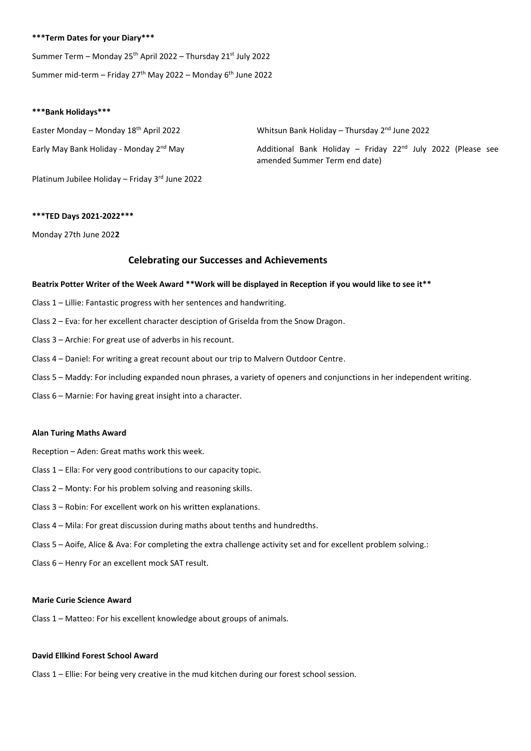#### **\*\*\*Term Dates for your Diary\*\*\***

Summer Term – Monday  $25^{th}$  April 2022 – Thursday  $21^{st}$  July 2022 Summer mid-term – Friday 27<sup>th</sup> May 2022 – Monday 6<sup>th</sup> June 2022

#### **\*\*\*Bank Holidays\*\*\***

Easter Monday – Monday 18th April 2022 Whitsun Bank Holiday – Thursday 2nd June 2022

Early May Bank Holiday - Monday 2<sup>nd</sup> May **And Mark Additional Bank Holiday – Friday 22<sup>nd</sup> July 2022 (Please see** amended Summer Term end date)

Platinum Jubilee Holiday – Friday 3rd June 2022

#### **\*\*\*TED Days 2021-2022\*\*\***

Monday 27th June 202**2**

# **Celebrating our Successes and Achievements**

#### **Beatrix Potter Writer of the Week Award \*\*Work will be displayed in Reception if you would like to see it\*\***

- Class 1 Lillie: Fantastic progress with her sentences and handwriting.
- Class 2 Eva: for her excellent character desciption of Griselda from the Snow Dragon.
- Class 3 Archie: For great use of adverbs in his recount.
- Class 4 Daniel: For writing a great recount about our trip to Malvern Outdoor Centre.
- Class 5 Maddy: For including expanded noun phrases, a variety of openers and conjunctions in her independent writing.
- Class 6 Marnie: For having great insight into a character.

#### **Alan Turing Maths Award**

Reception – Aden: Great maths work this week.

- Class 1 Ella: For very good contributions to our capacity topic.
- Class 2 Monty: For his problem solving and reasoning skills.
- Class 3 Robin: For excellent work on his written explanations.
- Class 4 Mila: For great discussion during maths about tenths and hundredths.
- Class 5 Aoife, Alice & Ava: For completing the extra challenge activity set and for excellent problem solving.:
- Class 6 Henry For an excellent mock SAT result.

#### **Marie Curie Science Award**

Class 1 – Matteo: For his excellent knowledge about groups of animals.

#### **David Ellkind Forest School Award**

Class 1 – Ellie: For being very creative in the mud kitchen during our forest school session.